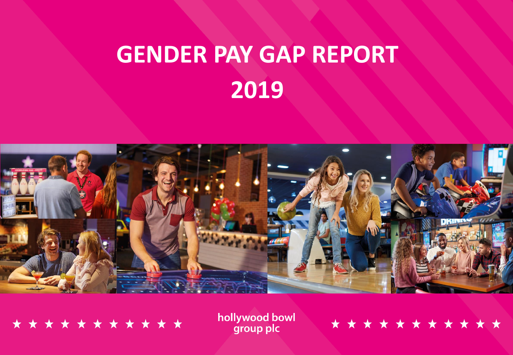

\* \* \* \* \* \* \* \* \* \* \*

hollywood bowl group plc

# \* \* \* \* \* \* \* \* \* \* \* \*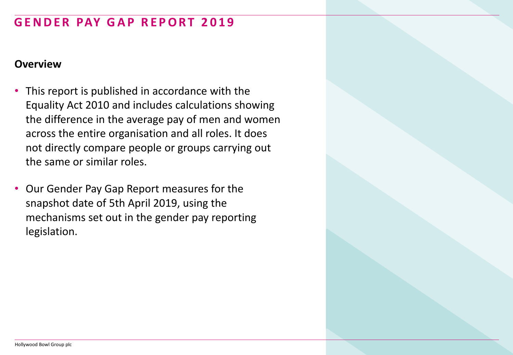#### **Overview**

- This report is published in accordance with the Equality Act 2010 and includes calculations showing the difference in the average pay of men and women across the entire organisation and all roles. It does not directly compare people or groups carrying out the same or similar roles.
- Our Gender Pay Gap Report measures for the snapshot date of 5th April 2019, using the mechanisms set out in the gender pay reporting legislation.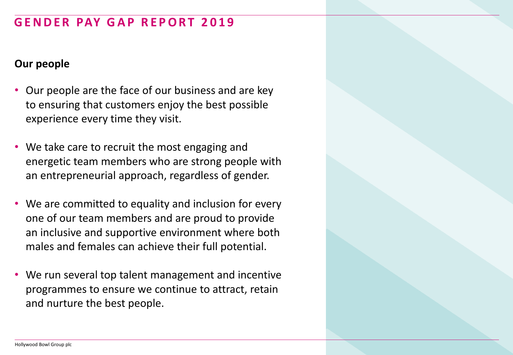#### **Our people**

- Our people are the face of our business and are key to ensuring that customers enjoy the best possible experience every time they visit.
- We take care to recruit the most engaging and energetic team members who are strong people with an entrepreneurial approach, regardless of gender.
- We are committed to equality and inclusion for every one of our team members and are proud to provide an inclusive and supportive environment where both males and females can achieve their full potential.
- We run several top talent management and incentive programmes to ensure we continue to attract, retain and nurture the best people.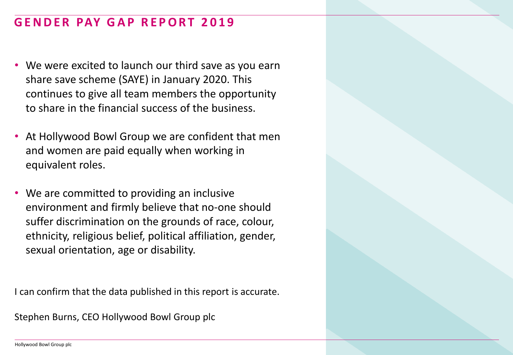- We were excited to launch our third save as you earn share save scheme (SAYE) in January 2020. This continues to give all team members the opportunity to share in the financial success of the business.
- At Hollywood Bowl Group we are confident that men and women are paid equally when working in equivalent roles.
- We are committed to providing an inclusive environment and firmly believe that no-one should suffer discrimination on the grounds of race, colour, ethnicity, religious belief, political affiliation, gender, sexual orientation, age or disability.

I can confirm that the data published in this report is accurate.

Stephen Burns, CEO Hollywood Bowl Group plc

Hollywood Bowl Group plc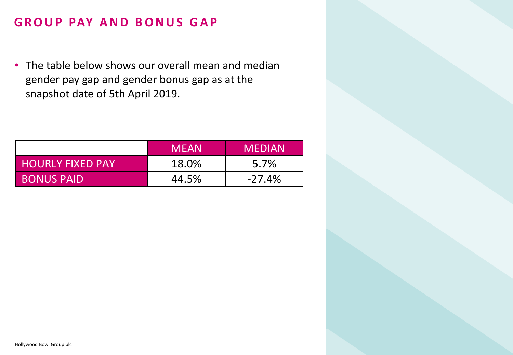## **GROUP PAY AND BONUS GAP**

• The table below shows our overall mean and median gender pay gap and gender bonus gap as at the snapshot date of 5th April 2019.

|                   | <b>MFAN</b> | <b>MEDIAN</b> |
|-------------------|-------------|---------------|
| HOURLY FIXED PAY  | 18.0%       | 5.7%          |
| <b>BONUS PAID</b> | 44.5%       | $-27.4\%$     |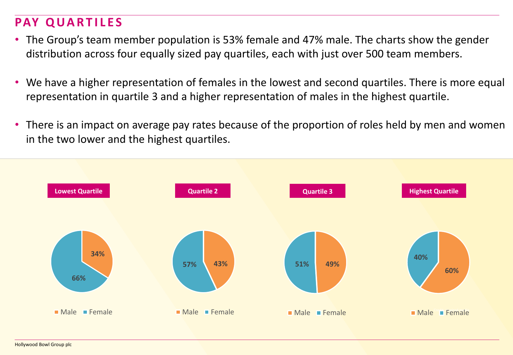## **PAY QUARTILES**

- The Group's team member population is 53% female and 47% male. The charts show the gender distribution across four equally sized pay quartiles, each with just over 500 team members.
- We have a higher representation of females in the lowest and second quartiles. There is more equal representation in quartile 3 and a higher representation of males in the highest quartile.
- There is an impact on average pay rates because of the proportion of roles held by men and women in the two lower and the highest quartiles.

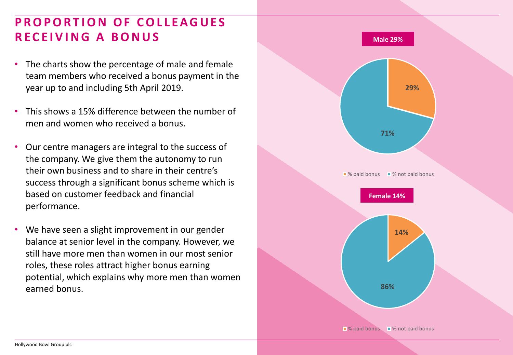### **PROPORTION OF COLLEAGUES R E C E I V I N G A B O N U S**

- The charts show the percentage of male and female team members who received a bonus payment in the year up to and including 5th April 2019.
- This shows a 15% difference between the number of men and women who received a bonus.
- Our centre managers are integral to the success of the company. We give them the autonomy to run their own business and to share in their centre's success through a significant bonus scheme which is based on customer feedback and financial performance.
- We have seen a slight improvement in our gender balance at senior level in the company. However, we still have more men than women in our most senior roles, these roles attract higher bonus earning potential, which explains why more men than women earned bonus.